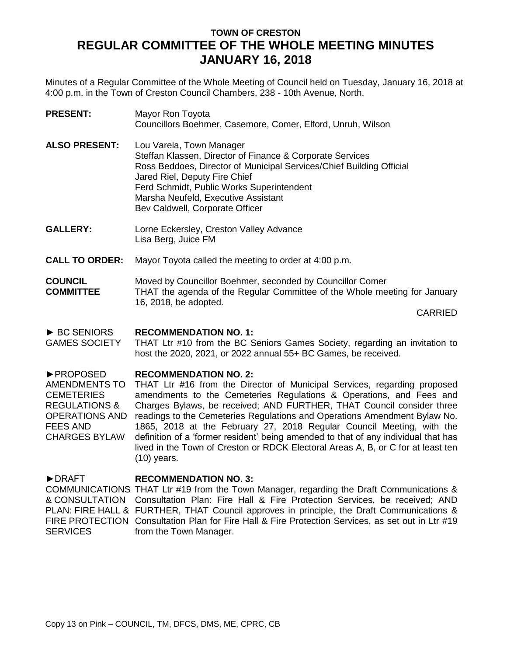# **TOWN OF CRESTON REGULAR COMMITTEE OF THE WHOLE MEETING MINUTES JANUARY 16, 2018**

Minutes of a Regular Committee of the Whole Meeting of Council held on Tuesday, January 16, 2018 at 4:00 p.m. in the Town of Creston Council Chambers, 238 - 10th Avenue, North.

| <b>PRESENT:</b>      | Mayor Ron Toyota<br>Councillors Boehmer, Casemore, Comer, Elford, Unruh, Wilson                                                                                                                                                                                                                                       |
|----------------------|-----------------------------------------------------------------------------------------------------------------------------------------------------------------------------------------------------------------------------------------------------------------------------------------------------------------------|
| <b>ALSO PRESENT:</b> | Lou Varela, Town Manager<br>Steffan Klassen, Director of Finance & Corporate Services<br>Ross Beddoes, Director of Municipal Services/Chief Building Official<br>Jared Riel, Deputy Fire Chief<br>Ferd Schmidt, Public Works Superintendent<br>Marsha Neufeld, Executive Assistant<br>Bev Caldwell, Corporate Officer |

- **GALLERY:** Lorne Eckersley, Creston Valley Advance Lisa Berg, Juice FM
- **CALL TO ORDER:** Mayor Toyota called the meeting to order at 4:00 p.m.

### **COUNCIL COMMITTEE** Moved by Councillor Boehmer, seconded by Councillor Comer THAT the agenda of the Regular Committee of the Whole meeting for January 16, 2018, be adopted.

CARRIED

#### ► BC SENIORS **RECOMMENDATION NO. 1:**

GAMES SOCIETY THAT Ltr #10 from the BC Seniors Games Society, regarding an invitation to host the 2020, 2021, or 2022 annual 55+ BC Games, be received.

#### ►PROPOSED **RECOMMENDATION NO. 2:**

AMENDMENTS TO CEMETERIES REGULATIONS & OPERATIONS AND readings to the Cemeteries Regulations and Operations Amendment Bylaw No. FEES AND CHARGES BYLAW THAT Ltr #16 from the Director of Municipal Services, regarding proposed amendments to the Cemeteries Regulations & Operations, and Fees and Charges Bylaws, be received; AND FURTHER, THAT Council consider three 1865, 2018 at the February 27, 2018 Regular Council Meeting, with the definition of a 'former resident' being amended to that of any individual that has lived in the Town of Creston or RDCK Electoral Areas A, B, or C for at least ten (10) years.

#### ►DRAFT **RECOMMENDATION NO. 3:**

COMMUNICATIONS THAT Ltr #19 from the Town Manager, regarding the Draft Communications & & CONSULTATION Consultation Plan: Fire Hall & Fire Protection Services, be received; AND PLAN: FIRE HALL & FURTHER, THAT Council approves in principle, the Draft Communications & FIRE PROTECTION Consultation Plan for Fire Hall & Fire Protection Services, as set out in Ltr #19 SERVICES from the Town Manager.